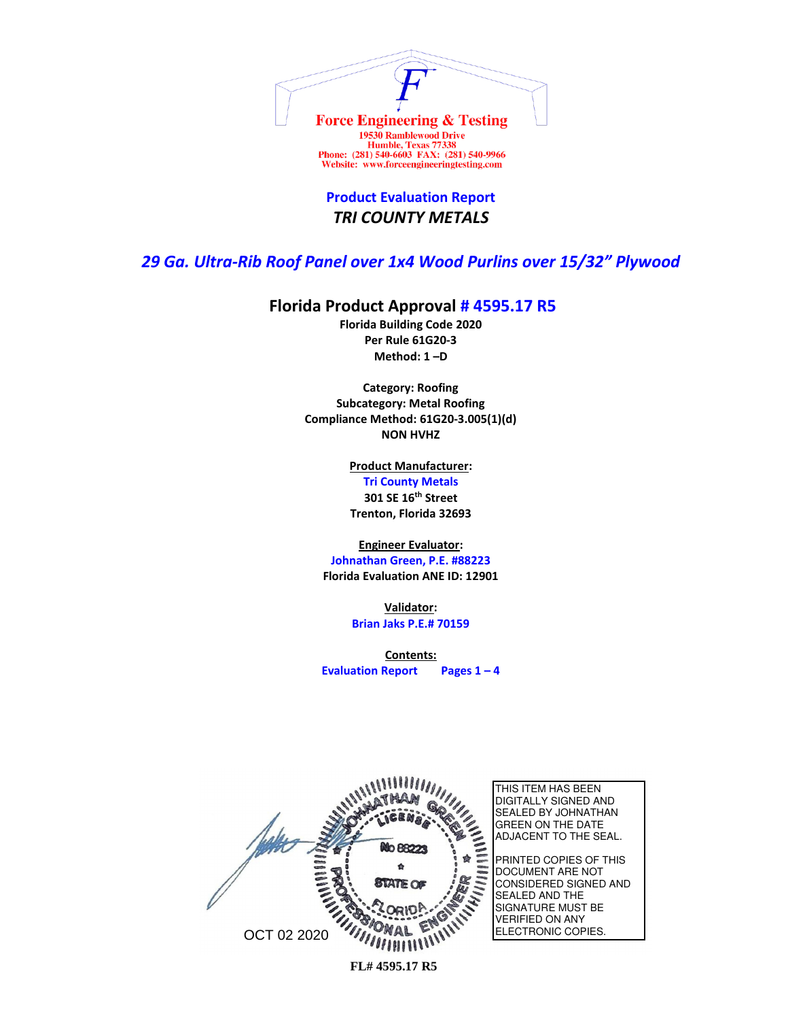

**Product Evaluation Report** *TRI COUNTY METALS*

## *29 Ga. Ultra-Rib Roof Panel over 1x4 Wood Purlins over 15/32" Plywood*

## **Florida Product Approval # 4595.17 R5**

**Florida Building Code 2020 Per Rule 61G20-3 Method: 1 –D** 

**Category: Roofing Subcategory: Metal Roofing Compliance Method: 61G20-3.005(1)(d) NON HVHZ**

> **Product Manufacturer: Tri County Metals 301 SE 16th Street Trenton, Florida 32693**

**Engineer Evaluator:**

**Johnathan Green, P.E. #88223 Florida Evaluation ANE ID: 12901**

> **Validator: Brian Jaks P.E.# 70159**

**Contents: Evaluation Report Pages 1 – 4**

THIS ITEM HAS BEEN DIGITALLY SIGNED AND SEALED BY JOHNATHAN GREEN ON THE DATE ADJACENT TO THE SEAL. No 88223 PRINTED COPIES OF THIS DOCUMENT ARE NOT CONSIDERED SIGNED AND SEALED AND THE SIGNATURE MUST BE VERIFIED ON ANY ELECTRONIC COPIES. OCT 02 2020 $\frac{1}{2}$ 

**FL# 4595.17 R5**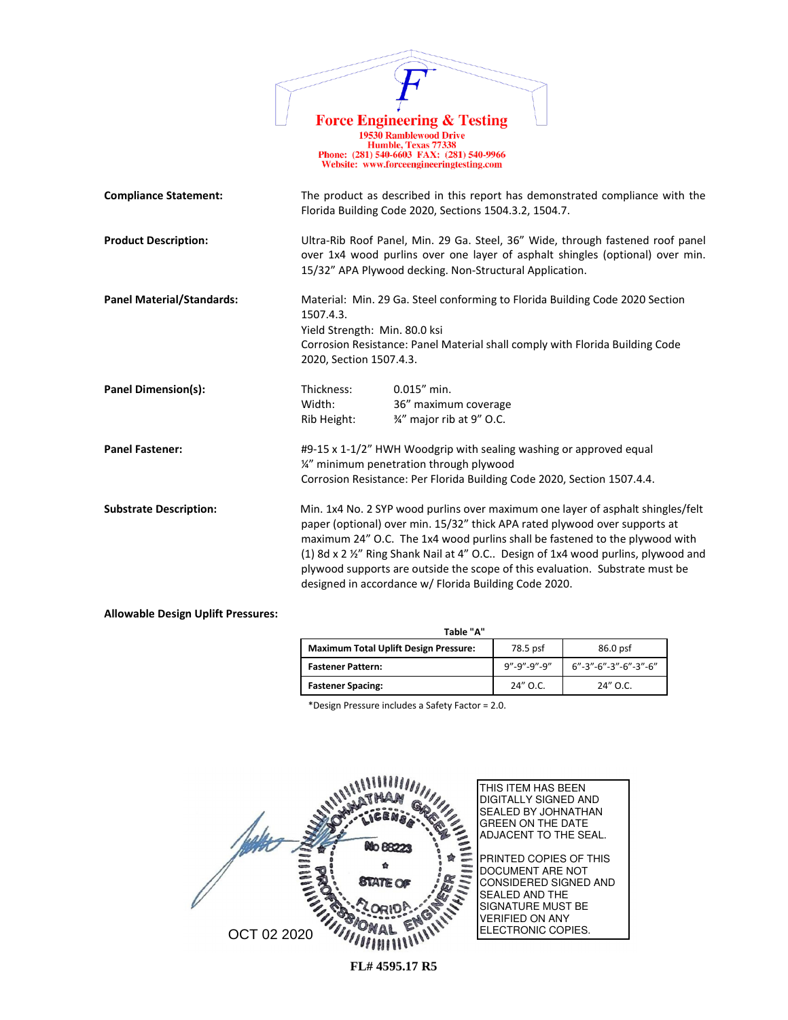|                                  | <b>Force Engineering &amp; Testing</b><br><b>19530 Ramblewood Drive</b><br>Humble, Texas 77338<br>Phone: (281) 540-6603 FAX: (281) 540-9966<br>Website: www.forceengineeringtesting.com                                                                                                                                                                                                                                                                                    |
|----------------------------------|----------------------------------------------------------------------------------------------------------------------------------------------------------------------------------------------------------------------------------------------------------------------------------------------------------------------------------------------------------------------------------------------------------------------------------------------------------------------------|
| <b>Compliance Statement:</b>     | The product as described in this report has demonstrated compliance with the<br>Florida Building Code 2020, Sections 1504.3.2, 1504.7.                                                                                                                                                                                                                                                                                                                                     |
| <b>Product Description:</b>      | Ultra-Rib Roof Panel, Min. 29 Ga. Steel, 36" Wide, through fastened roof panel<br>over 1x4 wood purlins over one layer of asphalt shingles (optional) over min.<br>15/32" APA Plywood decking. Non-Structural Application.                                                                                                                                                                                                                                                 |
| <b>Panel Material/Standards:</b> | Material: Min. 29 Ga. Steel conforming to Florida Building Code 2020 Section<br>1507.4.3.<br>Yield Strength: Min. 80.0 ksi<br>Corrosion Resistance: Panel Material shall comply with Florida Building Code<br>2020, Section 1507.4.3.                                                                                                                                                                                                                                      |
| Panel Dimension(s):              | $0.015''$ min.<br>Thickness:<br>Width:<br>36" maximum coverage<br>3/4" major rib at 9" O.C.<br>Rib Height:                                                                                                                                                                                                                                                                                                                                                                 |
| <b>Panel Fastener:</b>           | #9-15 x 1-1/2" HWH Woodgrip with sealing washing or approved equal<br>1/2" minimum penetration through plywood<br>Corrosion Resistance: Per Florida Building Code 2020, Section 1507.4.4.                                                                                                                                                                                                                                                                                  |
| <b>Substrate Description:</b>    | Min. 1x4 No. 2 SYP wood purlins over maximum one layer of asphalt shingles/felt<br>paper (optional) over min. 15/32" thick APA rated plywood over supports at<br>maximum 24" O.C. The 1x4 wood purlins shall be fastened to the plywood with<br>(1) 8d x 2 1/2" Ring Shank Nail at 4" O.C Design of 1x4 wood purlins, plywood and<br>plywood supports are outside the scope of this evaluation. Substrate must be<br>designed in accordance w/ Florida Building Code 2020. |

## **Allowable Design Uplift Pressures:**

| Table "A"                                    |             |                                    |  |
|----------------------------------------------|-------------|------------------------------------|--|
| <b>Maximum Total Uplift Design Pressure:</b> | 78.5 psf    | 86.0 psf                           |  |
| <b>Fastener Pattern:</b>                     | 9"-9"-9"-9" | $6" - 3" - 6" - 3" - 6" - 3" - 6"$ |  |
| <b>Fastener Spacing:</b>                     | 24" O.C.    | $24''$ O.C.                        |  |

\*Design Pressure includes a Safety Factor = 2.0.



**FL# 4595.17 R5**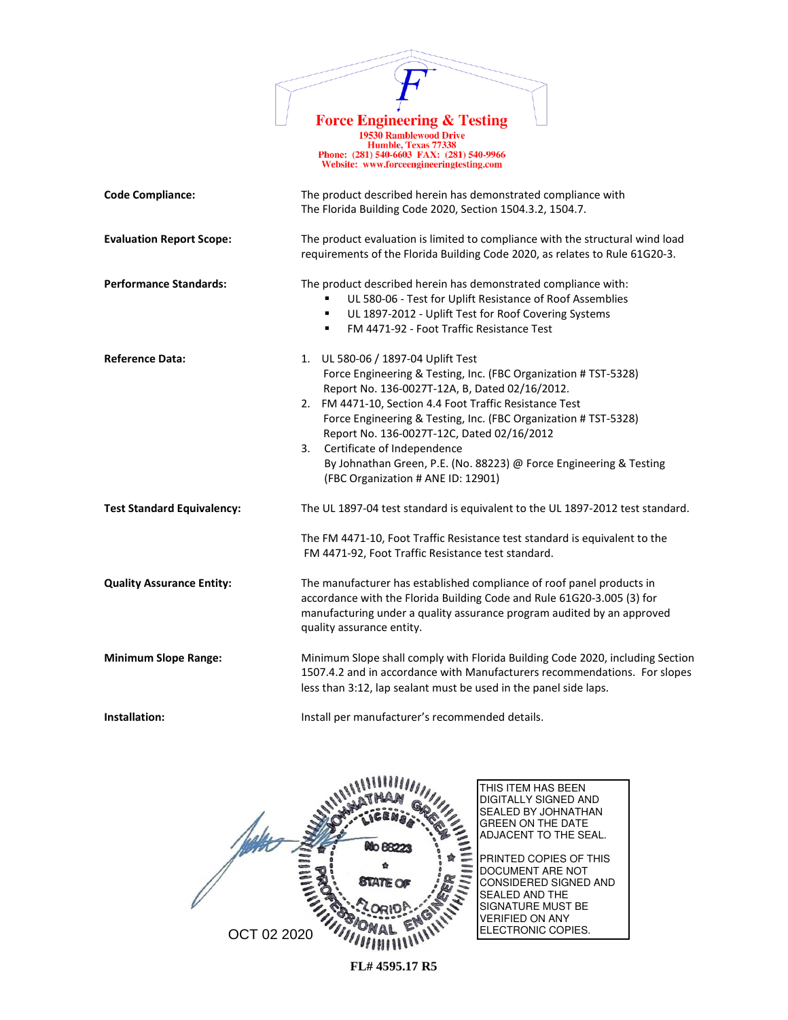

19730 Ramblewood Drive<br>
Humble, Texas 77338<br>
Phone: (281) 540-6603 FAX: (281) 540-9966<br>
Website: www.forceengineeringtesting.com

| <b>Code Compliance:</b>           | The product described herein has demonstrated compliance with<br>The Florida Building Code 2020, Section 1504.3.2, 1504.7.                                                                                                                                                                                                                                                                                                                                                           |  |
|-----------------------------------|--------------------------------------------------------------------------------------------------------------------------------------------------------------------------------------------------------------------------------------------------------------------------------------------------------------------------------------------------------------------------------------------------------------------------------------------------------------------------------------|--|
| <b>Evaluation Report Scope:</b>   | The product evaluation is limited to compliance with the structural wind load<br>requirements of the Florida Building Code 2020, as relates to Rule 61G20-3.                                                                                                                                                                                                                                                                                                                         |  |
| <b>Performance Standards:</b>     | The product described herein has demonstrated compliance with:<br>UL 580-06 - Test for Uplift Resistance of Roof Assemblies<br>UL 1897-2012 - Uplift Test for Roof Covering Systems<br>$\blacksquare$<br>FM 4471-92 - Foot Traffic Resistance Test<br>٠                                                                                                                                                                                                                              |  |
| <b>Reference Data:</b>            | 1. UL 580-06 / 1897-04 Uplift Test<br>Force Engineering & Testing, Inc. (FBC Organization # TST-5328)<br>Report No. 136-0027T-12A, B, Dated 02/16/2012.<br>2. FM 4471-10, Section 4.4 Foot Traffic Resistance Test<br>Force Engineering & Testing, Inc. (FBC Organization # TST-5328)<br>Report No. 136-0027T-12C, Dated 02/16/2012<br>Certificate of Independence<br>3.<br>By Johnathan Green, P.E. (No. 88223) @ Force Engineering & Testing<br>(FBC Organization # ANE ID: 12901) |  |
| <b>Test Standard Equivalency:</b> | The UL 1897-04 test standard is equivalent to the UL 1897-2012 test standard.<br>The FM 4471-10, Foot Traffic Resistance test standard is equivalent to the<br>FM 4471-92, Foot Traffic Resistance test standard.                                                                                                                                                                                                                                                                    |  |
| <b>Quality Assurance Entity:</b>  | The manufacturer has established compliance of roof panel products in<br>accordance with the Florida Building Code and Rule 61G20-3.005 (3) for<br>manufacturing under a quality assurance program audited by an approved<br>quality assurance entity.                                                                                                                                                                                                                               |  |
| <b>Minimum Slope Range:</b>       | Minimum Slope shall comply with Florida Building Code 2020, including Section<br>1507.4.2 and in accordance with Manufacturers recommendations. For slopes<br>less than 3:12, lap sealant must be used in the panel side laps.                                                                                                                                                                                                                                                       |  |
| Installation:                     | Install per manufacturer's recommended details.                                                                                                                                                                                                                                                                                                                                                                                                                                      |  |



**FL# 4595.17 R5**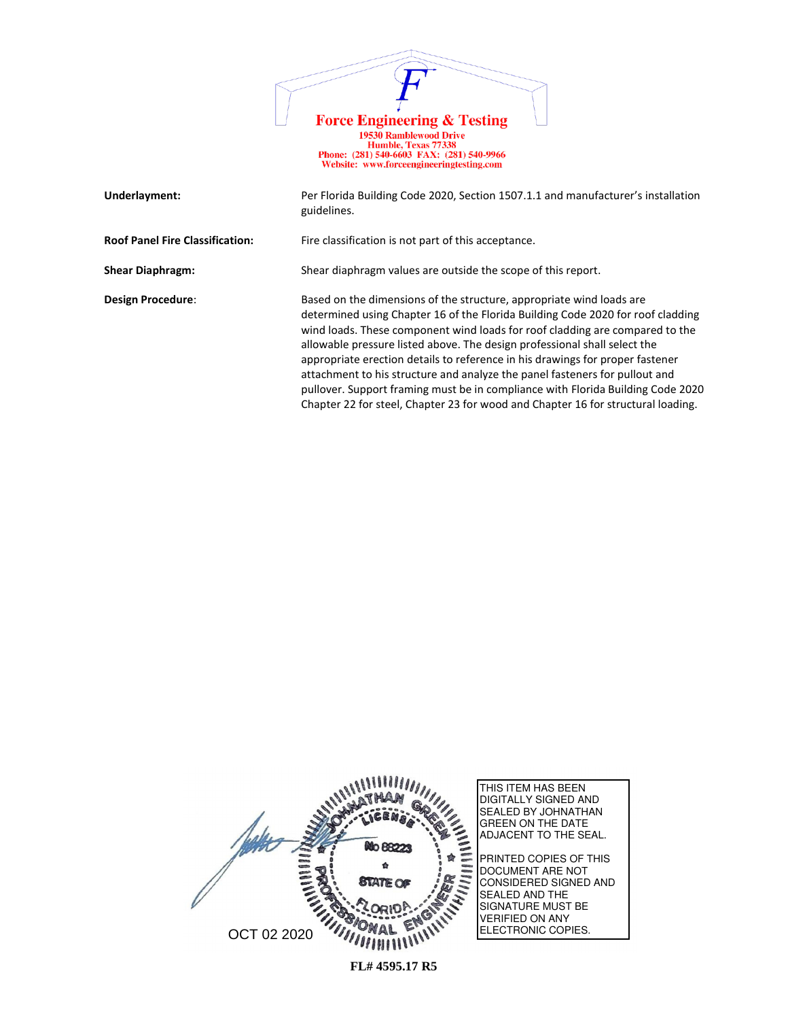

| Underlayment:                          | Per Florida Building Code 2020, Section 1507.1.1 and manufacturer's installation<br>guidelines.                                                                                                                                                                                                                                                                                                                                                                                                                                                                                                                                                             |
|----------------------------------------|-------------------------------------------------------------------------------------------------------------------------------------------------------------------------------------------------------------------------------------------------------------------------------------------------------------------------------------------------------------------------------------------------------------------------------------------------------------------------------------------------------------------------------------------------------------------------------------------------------------------------------------------------------------|
| <b>Roof Panel Fire Classification:</b> | Fire classification is not part of this acceptance.                                                                                                                                                                                                                                                                                                                                                                                                                                                                                                                                                                                                         |
| <b>Shear Diaphragm:</b>                | Shear diaphragm values are outside the scope of this report.                                                                                                                                                                                                                                                                                                                                                                                                                                                                                                                                                                                                |
| Design Procedure:                      | Based on the dimensions of the structure, appropriate wind loads are<br>determined using Chapter 16 of the Florida Building Code 2020 for roof cladding<br>wind loads. These component wind loads for roof cladding are compared to the<br>allowable pressure listed above. The design professional shall select the<br>appropriate erection details to reference in his drawings for proper fastener<br>attachment to his structure and analyze the panel fasteners for pullout and<br>pullover. Support framing must be in compliance with Florida Building Code 2020<br>Chapter 22 for steel, Chapter 23 for wood and Chapter 16 for structural loading. |